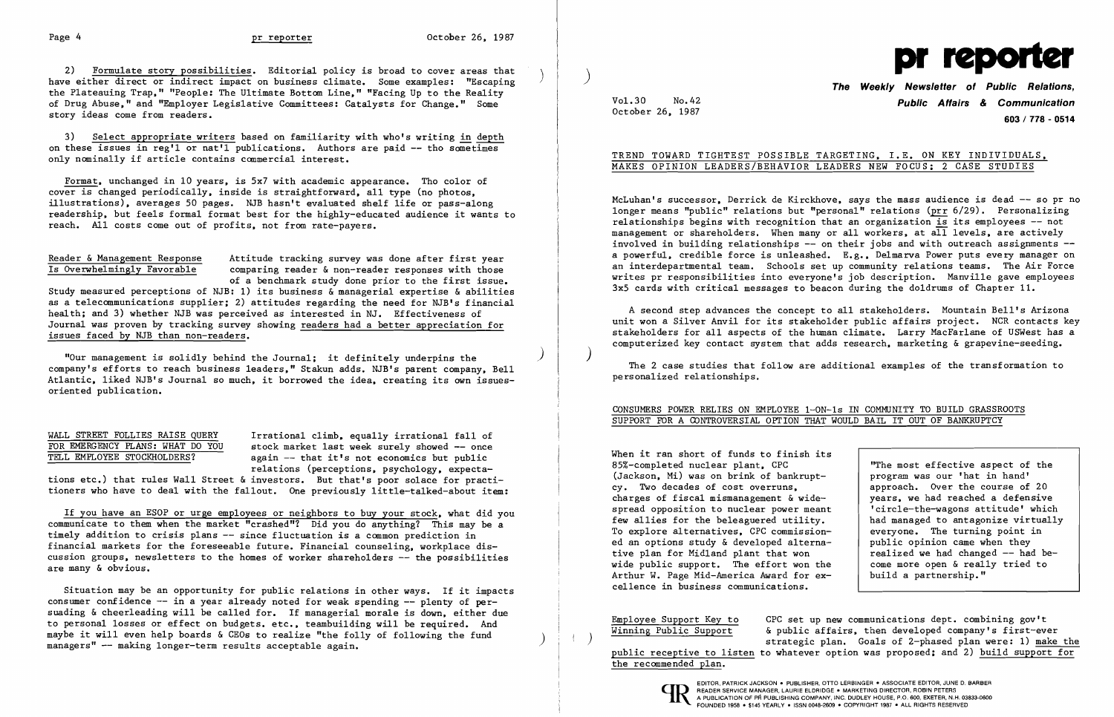2) Formulate story possibilities. Editorial policy is broad to cover areas that have either direct or indirect impact on business climate. Some examples: "Escaping the Plateauing Trap," "People: The Ultimate Bottom Line," "Facing Up to the Reality of Drug Abuse," and "Employer Legislative Committees: Catalysts for Change." Some story ideas come from readers.

3) Select appropriate writers based on familiarity with who's writing in depth on these issues in reg'l or nat'l publications. Authors are paid -- tho sometimes only nominally if article contains commercial interest.

> Attitude tracking survey was done after first year comparing reader & non-reader responses with those of a benchmark study done prior to the first issue.

Study measured perceptions of NJB: 1) its business  $\stackrel{\sim}{\alpha}$  managerial expertise & abilities as a telecommunications supplier; 2) attitudes regarding the need for NJB's financial health; and 3) whether NJB was perceived as interested in NJ. Effectiveness of Journal was proven by tracking survey showing readers had a better appreciation for issues faced by NJB than non-readers.

Format, unchanged in 10 years, is 5x7 with academic appearance. Tho color of cover is changed periodically, inside is straightforward, all type (no photos, illustrations), averages 50 pages. NJB hasn't evaluated shelf life or pass-along readership, but feels formal format best for the highly-educated audience it wants to reach. All costs come out of profits, not from rate-payers.

|  |  |  | Reader & Management Response |
|--|--|--|------------------------------|
|  |  |  | Is Overwhelmingly Favorable  |

WALL STREET FOLLIES RAISE QUERY Irrational climb, equally irrational fall of FOR EMERGENCY PLANS: WHAT DO YOU stock market last week surely showed -- once FOR EMERGENCY PLANS: WHAT DO YOU stock market last week surely showed -- once<br>TELL EMPLOYEE STOCKHOLDERS? again -- that it's not economics but public again  $-$  that it's not economics but public relations (perceptions, psychology, expecta-

tions etc.) that rules Wall Street & investors. But that's poor solace for practitioners who have to deal with the fallout. One previously little-talked-about item:

Situation may be an opportunity for public relations in other ways. If it impacts consumer confidence  $-$  in a year already noted for weak spending  $-$  plenty of persuading & cheerleading will be called for. If managerial morale is down, either due to personal losses or effect on budgets. etc., teambuilding will be required. And maybe it will even help boards & CEOs to realize "the folly of following the fund managers"  $-$  making longer-term results acceptable again.

"Our management is solidly behind the Journal; it definitely underpins the ) company's efforts to reach business leaders," Stakun adds. NJB's parent company, Bell Atlantic, liked NJB's Journal so much, it borrowed the idea, creating its own issuesoriented publication.

McLuhan's successor, Derrick de Kirckhove, says the mass audience is dead -- so pr no longer means "public" relations but "personal" relations (prr 6/29). Personalizing relationships begins with recognition that an organization is its employees  $-$  not management or shareholders. When many or all workers, at all levels, are actively involved in building relationships  $-$  on their jobs and with outreach assignments  $$ a powerful, credible force is unleashed. E.g., Delmarva Power puts every manager on an interdepartmental team. Schools set up community relations teams. The Air Force writes pr responsibilities into everyone's job description. Manville gave employees 3x5 cards with critical messages to beacon during the doldrums of Chapter **11.** 

If you have an ESOP or urge employees or neighbors to buy your stock, what did you communicate to them when the market "crashed"? Did you do anything? This may be a timely addition to crisis plans -- since fluctuation is a common prediction in financial markets for the foreseeable future. Financial counseling, workplace discussion groups, newsletters to the homes of worker shareholders -- the possibilities are many & obvious.

When it ran short of funds to finish its 85%-completed nuclear plant, CPC (Jackson, Mi) was on brink of bankruptcy. Two decades of cost overruns, charges of fiscal mismanagement  $\&$  widespread opposition to nuclear power meant few allies for the beleaguered utility. To explore alternatives. CPC commissioned an options study & developed alternative plan for Midland plant that won wide public support. The effort won the Arthur W. Page Mid-America Award for excellence in business communications.

Employee Support Key to CPC set up new communications dept. combining gov't<br>Winning Public Support 6 public affairs, then developed company's first-eve & public affairs, then developed company's first-ever<br>strategic plan. Goals of 2-phased plan were: 1) make the public receptive to listen to whatever option was proposed; and 2) build support for the recommended plan.



# Vol. 30 No.42 **Public Affairs** *&* **Communication 603/778 - 0514**

October 26, 1987

## TREND TOWARD TIGHTEST POSSIBLE TARGETING, I.E. ON KEY INDIVIDUALS, MAKES OPINION LEADERS/BEHAVIOR LEADERS NEW FOCUS; 2 CASE STUDIES

A second step advances the concept to all stakeholders. Mountain Bell's Arizona unit won a Silver Anvil for its stakeholder public affairs project. NCR contacts key stakeholders for all aspects of the human climate. Larry MacFarlane of USWest has a computerized key contact system that adds research, marketing & grapevine-seeding.

)

The 2 case studies that follow are additional examples of the transformation to personalized relationships.

## CONSUMERS POWER RELIES ON EMPLOYEE 1-0N-1s IN COMMUNITY TO BUILD GRASSROOTS

SUPPORT FOR A GONTROVERSIAL OPTION THAT WOULD BAIL IT OUT OF BANKRUPTCY

| nish its |                                     |
|----------|-------------------------------------|
|          | "The most effective aspect of the   |
| nkrupt-  | program was our 'hat in hand'       |
| 5.       | approach. Over the course of 20     |
| & wide-  | years, we had reached a defensive   |
| er meant | 'circle-the-wagons attitude' which  |
| tility.  | had managed to antagonize virtually |
| nission- | everyone. The turning point in      |
| alterna- | public opinion came when they       |
| won      | realized we had changed -- had be-  |
| won the  | come more open & really tried to    |
| for ex-  | build a partnership."               |
| ons.     |                                     |